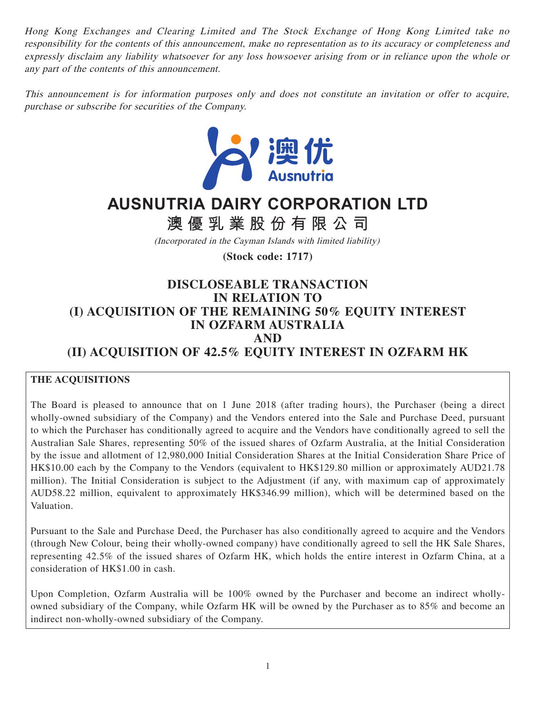Hong Kong Exchanges and Clearing Limited and The Stock Exchange of Hong Kong Limited take no responsibility for the contents of this announcement, make no representation as to its accuracy or completeness and expressly disclaim any liability whatsoever for any loss howsoever arising from or in reliance upon the whole or any part of the contents of this announcement.

This announcement is for information purposes only and does not constitute an invitation or offer to acquire, purchase or subscribe for securities of the Company.



# **AUSNUTRIA DAIRY CORPORATION LTD**

**澳優乳業股份有限公司**

(Incorporated in the Cayman Islands with limited liability)

**(Stock code: 1717)**

# **DISCLOSEABLE TRANSACTION IN RELATION TO (I) ACQUISITION OF THE REMAINING 50% EQUITY INTEREST IN OZFARM AUSTRALIA AND (II) ACQUISITION OF 42.5% EQUITY INTEREST IN OZFARM HK**

## **THE ACQUISITIONS**

The Board is pleased to announce that on 1 June 2018 (after trading hours), the Purchaser (being a direct wholly-owned subsidiary of the Company) and the Vendors entered into the Sale and Purchase Deed, pursuant to which the Purchaser has conditionally agreed to acquire and the Vendors have conditionally agreed to sell the Australian Sale Shares, representing 50% of the issued shares of Ozfarm Australia, at the Initial Consideration by the issue and allotment of 12,980,000 Initial Consideration Shares at the Initial Consideration Share Price of HK\$10.00 each by the Company to the Vendors (equivalent to HK\$129.80 million or approximately AUD21.78 million). The Initial Consideration is subject to the Adjustment (if any, with maximum cap of approximately AUD58.22 million, equivalent to approximately HK\$346.99 million), which will be determined based on the Valuation.

Pursuant to the Sale and Purchase Deed, the Purchaser has also conditionally agreed to acquire and the Vendors (through New Colour, being their wholly-owned company) have conditionally agreed to sell the HK Sale Shares, representing 42.5% of the issued shares of Ozfarm HK, which holds the entire interest in Ozfarm China, at a consideration of HK\$1.00 in cash.

Upon Completion, Ozfarm Australia will be 100% owned by the Purchaser and become an indirect whollyowned subsidiary of the Company, while Ozfarm HK will be owned by the Purchaser as to 85% and become an indirect non-wholly-owned subsidiary of the Company.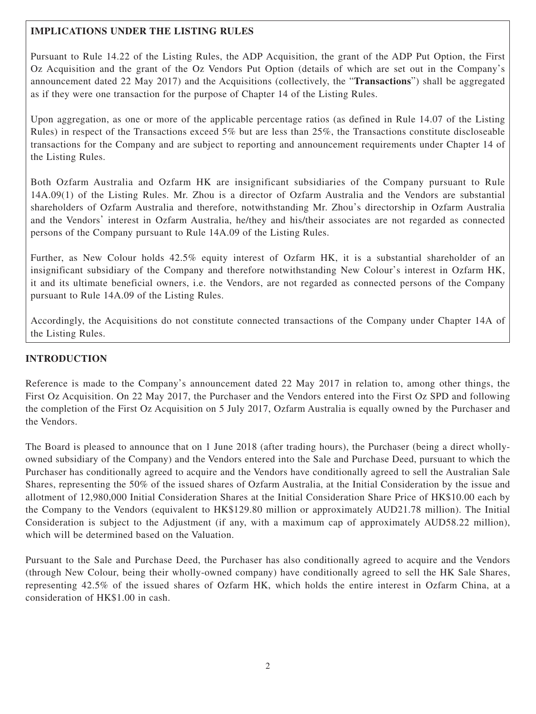## **IMPLICATIONS UNDER THE LISTING RULES**

Pursuant to Rule 14.22 of the Listing Rules, the ADP Acquisition, the grant of the ADP Put Option, the First Oz Acquisition and the grant of the Oz Vendors Put Option (details of which are set out in the Company's announcement dated 22 May 2017) and the Acquisitions (collectively, the "**Transactions**") shall be aggregated as if they were one transaction for the purpose of Chapter 14 of the Listing Rules.

Upon aggregation, as one or more of the applicable percentage ratios (as defined in Rule 14.07 of the Listing Rules) in respect of the Transactions exceed 5% but are less than 25%, the Transactions constitute discloseable transactions for the Company and are subject to reporting and announcement requirements under Chapter 14 of the Listing Rules.

Both Ozfarm Australia and Ozfarm HK are insignificant subsidiaries of the Company pursuant to Rule 14A.09(1) of the Listing Rules. Mr. Zhou is a director of Ozfarm Australia and the Vendors are substantial shareholders of Ozfarm Australia and therefore, notwithstanding Mr. Zhou's directorship in Ozfarm Australia and the Vendors' interest in Ozfarm Australia, he/they and his/their associates are not regarded as connected persons of the Company pursuant to Rule 14A.09 of the Listing Rules.

Further, as New Colour holds 42.5% equity interest of Ozfarm HK, it is a substantial shareholder of an insignificant subsidiary of the Company and therefore notwithstanding New Colour's interest in Ozfarm HK, it and its ultimate beneficial owners, i.e. the Vendors, are not regarded as connected persons of the Company pursuant to Rule 14A.09 of the Listing Rules.

Accordingly, the Acquisitions do not constitute connected transactions of the Company under Chapter 14A of the Listing Rules.

## **INTRODUCTION**

Reference is made to the Company's announcement dated 22 May 2017 in relation to, among other things, the First Oz Acquisition. On 22 May 2017, the Purchaser and the Vendors entered into the First Oz SPD and following the completion of the First Oz Acquisition on 5 July 2017, Ozfarm Australia is equally owned by the Purchaser and the Vendors.

The Board is pleased to announce that on 1 June 2018 (after trading hours), the Purchaser (being a direct whollyowned subsidiary of the Company) and the Vendors entered into the Sale and Purchase Deed, pursuant to which the Purchaser has conditionally agreed to acquire and the Vendors have conditionally agreed to sell the Australian Sale Shares, representing the 50% of the issued shares of Ozfarm Australia, at the Initial Consideration by the issue and allotment of 12,980,000 Initial Consideration Shares at the Initial Consideration Share Price of HK\$10.00 each by the Company to the Vendors (equivalent to HK\$129.80 million or approximately AUD21.78 million). The Initial Consideration is subject to the Adjustment (if any, with a maximum cap of approximately AUD58.22 million), which will be determined based on the Valuation.

Pursuant to the Sale and Purchase Deed, the Purchaser has also conditionally agreed to acquire and the Vendors (through New Colour, being their wholly-owned company) have conditionally agreed to sell the HK Sale Shares, representing 42.5% of the issued shares of Ozfarm HK, which holds the entire interest in Ozfarm China, at a consideration of HK\$1.00 in cash.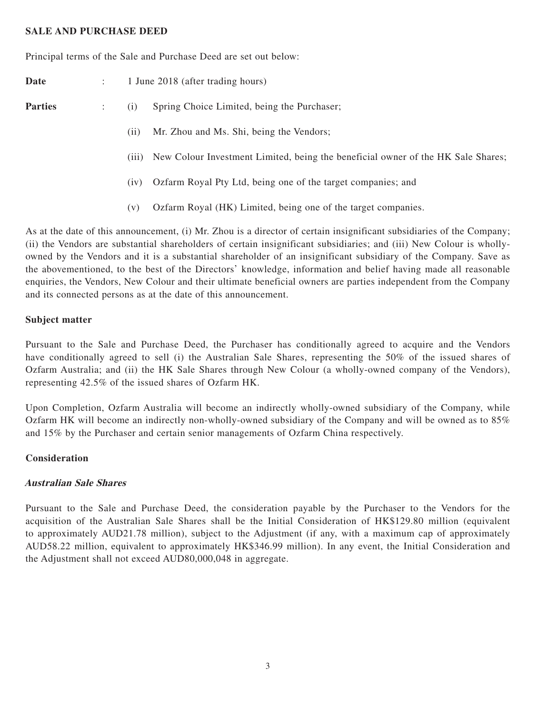## **SALE AND PURCHASE DEED**

Principal terms of the Sale and Purchase Deed are set out below:

**Date** : 1 June 2018 (after trading hours) **Parties** : (i) Spring Choice Limited, being the Purchaser; (ii) Mr. Zhou and Ms. Shi, being the Vendors;

- (iii) New Colour Investment Limited, being the beneficial owner of the HK Sale Shares;
- (iv) Ozfarm Royal Pty Ltd, being one of the target companies; and
- (v) Ozfarm Royal (HK) Limited, being one of the target companies.

As at the date of this announcement, (i) Mr. Zhou is a director of certain insignificant subsidiaries of the Company; (ii) the Vendors are substantial shareholders of certain insignificant subsidiaries; and (iii) New Colour is whollyowned by the Vendors and it is a substantial shareholder of an insignificant subsidiary of the Company. Save as the abovementioned, to the best of the Directors' knowledge, information and belief having made all reasonable enquiries, the Vendors, New Colour and their ultimate beneficial owners are parties independent from the Company and its connected persons as at the date of this announcement.

#### **Subject matter**

Pursuant to the Sale and Purchase Deed, the Purchaser has conditionally agreed to acquire and the Vendors have conditionally agreed to sell (i) the Australian Sale Shares, representing the 50% of the issued shares of Ozfarm Australia; and (ii) the HK Sale Shares through New Colour (a wholly-owned company of the Vendors), representing 42.5% of the issued shares of Ozfarm HK.

Upon Completion, Ozfarm Australia will become an indirectly wholly-owned subsidiary of the Company, while Ozfarm HK will become an indirectly non-wholly-owned subsidiary of the Company and will be owned as to 85% and 15% by the Purchaser and certain senior managements of Ozfarm China respectively.

## **Consideration**

## **Australian Sale Shares**

Pursuant to the Sale and Purchase Deed, the consideration payable by the Purchaser to the Vendors for the acquisition of the Australian Sale Shares shall be the Initial Consideration of HK\$129.80 million (equivalent to approximately AUD21.78 million), subject to the Adjustment (if any, with a maximum cap of approximately AUD58.22 million, equivalent to approximately HK\$346.99 million). In any event, the Initial Consideration and the Adjustment shall not exceed AUD80,000,048 in aggregate.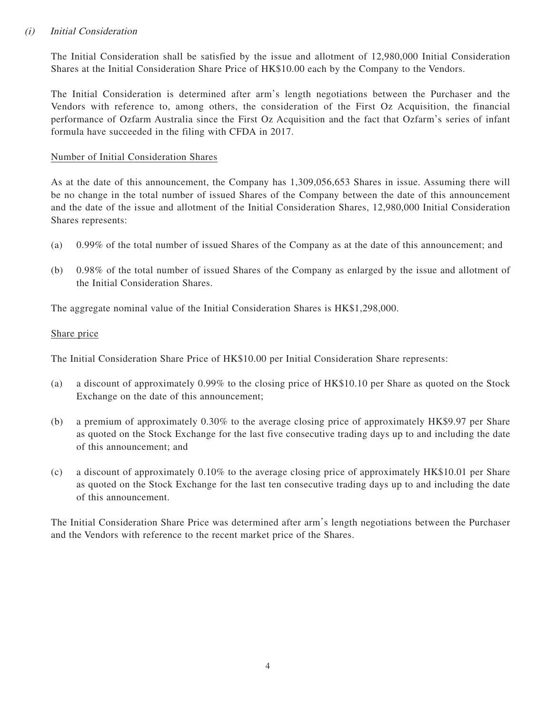## (i) Initial Consideration

The Initial Consideration shall be satisfied by the issue and allotment of 12,980,000 Initial Consideration Shares at the Initial Consideration Share Price of HK\$10.00 each by the Company to the Vendors.

The Initial Consideration is determined after arm's length negotiations between the Purchaser and the Vendors with reference to, among others, the consideration of the First Oz Acquisition, the financial performance of Ozfarm Australia since the First Oz Acquisition and the fact that Ozfarm's series of infant formula have succeeded in the filing with CFDA in 2017.

## Number of Initial Consideration Shares

As at the date of this announcement, the Company has 1,309,056,653 Shares in issue. Assuming there will be no change in the total number of issued Shares of the Company between the date of this announcement and the date of the issue and allotment of the Initial Consideration Shares, 12,980,000 Initial Consideration Shares represents:

- (a) 0.99% of the total number of issued Shares of the Company as at the date of this announcement; and
- (b) 0.98% of the total number of issued Shares of the Company as enlarged by the issue and allotment of the Initial Consideration Shares.

The aggregate nominal value of the Initial Consideration Shares is HK\$1,298,000.

## Share price

The Initial Consideration Share Price of HK\$10.00 per Initial Consideration Share represents:

- (a) a discount of approximately 0.99% to the closing price of HK\$10.10 per Share as quoted on the Stock Exchange on the date of this announcement;
- (b) a premium of approximately 0.30% to the average closing price of approximately HK\$9.97 per Share as quoted on the Stock Exchange for the last five consecutive trading days up to and including the date of this announcement; and
- (c) a discount of approximately 0.10% to the average closing price of approximately HK\$10.01 per Share as quoted on the Stock Exchange for the last ten consecutive trading days up to and including the date of this announcement.

The Initial Consideration Share Price was determined after arm's length negotiations between the Purchaser and the Vendors with reference to the recent market price of the Shares.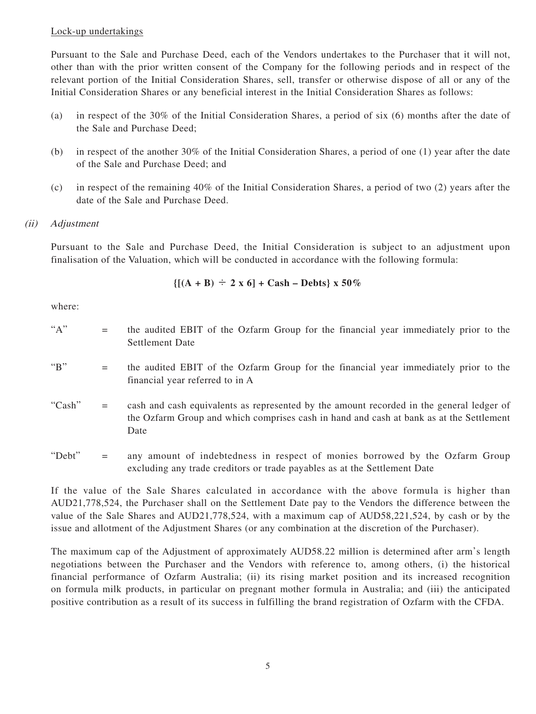## Lock-up undertakings

Pursuant to the Sale and Purchase Deed, each of the Vendors undertakes to the Purchaser that it will not, other than with the prior written consent of the Company for the following periods and in respect of the relevant portion of the Initial Consideration Shares, sell, transfer or otherwise dispose of all or any of the Initial Consideration Shares or any beneficial interest in the Initial Consideration Shares as follows:

- (a) in respect of the 30% of the Initial Consideration Shares, a period of six (6) months after the date of the Sale and Purchase Deed;
- (b) in respect of the another 30% of the Initial Consideration Shares, a period of one (1) year after the date of the Sale and Purchase Deed; and
- (c) in respect of the remaining 40% of the Initial Consideration Shares, a period of two (2) years after the date of the Sale and Purchase Deed.

## (ii) Adjustment

Pursuant to the Sale and Purchase Deed, the Initial Consideration is subject to an adjustment upon finalisation of the Valuation, which will be conducted in accordance with the following formula:

$$
\{[(A + B) \div 2 \times 6] + Cash - Debts\} \times 50\%
$$

where:

- "A" = the audited EBIT of the Ozfarm Group for the financial year immediately prior to the Settlement Date
- "B" = the audited EBIT of the Ozfarm Group for the financial year immediately prior to the financial year referred to in A
- "Cash" = cash and cash equivalents as represented by the amount recorded in the general ledger of the Ozfarm Group and which comprises cash in hand and cash at bank as at the Settlement Date
- "Debt" = any amount of indebtedness in respect of monies borrowed by the Ozfarm Group excluding any trade creditors or trade payables as at the Settlement Date

If the value of the Sale Shares calculated in accordance with the above formula is higher than AUD21,778,524, the Purchaser shall on the Settlement Date pay to the Vendors the difference between the value of the Sale Shares and AUD21,778,524, with a maximum cap of AUD58,221,524, by cash or by the issue and allotment of the Adjustment Shares (or any combination at the discretion of the Purchaser).

The maximum cap of the Adjustment of approximately AUD58.22 million is determined after arm's length negotiations between the Purchaser and the Vendors with reference to, among others, (i) the historical financial performance of Ozfarm Australia; (ii) its rising market position and its increased recognition on formula milk products, in particular on pregnant mother formula in Australia; and (iii) the anticipated positive contribution as a result of its success in fulfilling the brand registration of Ozfarm with the CFDA.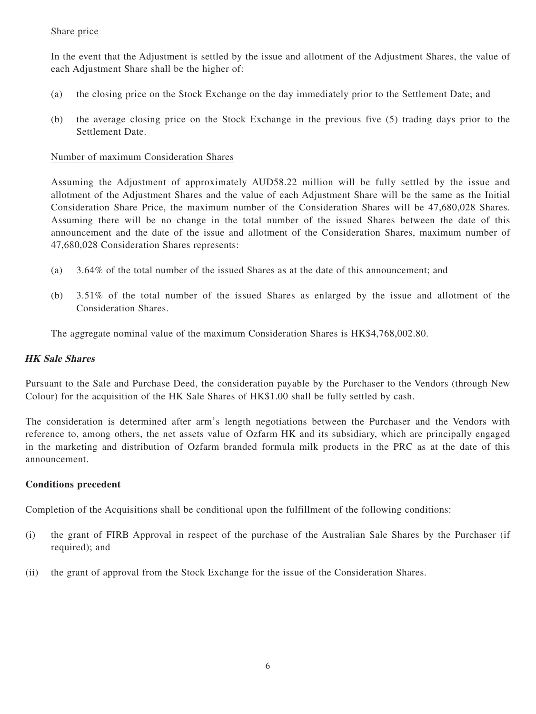## Share price

In the event that the Adjustment is settled by the issue and allotment of the Adjustment Shares, the value of each Adjustment Share shall be the higher of:

- (a) the closing price on the Stock Exchange on the day immediately prior to the Settlement Date; and
- (b) the average closing price on the Stock Exchange in the previous five (5) trading days prior to the Settlement Date.

## Number of maximum Consideration Shares

Assuming the Adjustment of approximately AUD58.22 million will be fully settled by the issue and allotment of the Adjustment Shares and the value of each Adjustment Share will be the same as the Initial Consideration Share Price, the maximum number of the Consideration Shares will be 47,680,028 Shares. Assuming there will be no change in the total number of the issued Shares between the date of this announcement and the date of the issue and allotment of the Consideration Shares, maximum number of 47,680,028 Consideration Shares represents:

- (a) 3.64% of the total number of the issued Shares as at the date of this announcement; and
- (b) 3.51% of the total number of the issued Shares as enlarged by the issue and allotment of the Consideration Shares.

The aggregate nominal value of the maximum Consideration Shares is HK\$4,768,002.80.

## **HK Sale Shares**

Pursuant to the Sale and Purchase Deed, the consideration payable by the Purchaser to the Vendors (through New Colour) for the acquisition of the HK Sale Shares of HK\$1.00 shall be fully settled by cash.

The consideration is determined after arm's length negotiations between the Purchaser and the Vendors with reference to, among others, the net assets value of Ozfarm HK and its subsidiary, which are principally engaged in the marketing and distribution of Ozfarm branded formula milk products in the PRC as at the date of this announcement.

## **Conditions precedent**

Completion of the Acquisitions shall be conditional upon the fulfillment of the following conditions:

- (i) the grant of FIRB Approval in respect of the purchase of the Australian Sale Shares by the Purchaser (if required); and
- (ii) the grant of approval from the Stock Exchange for the issue of the Consideration Shares.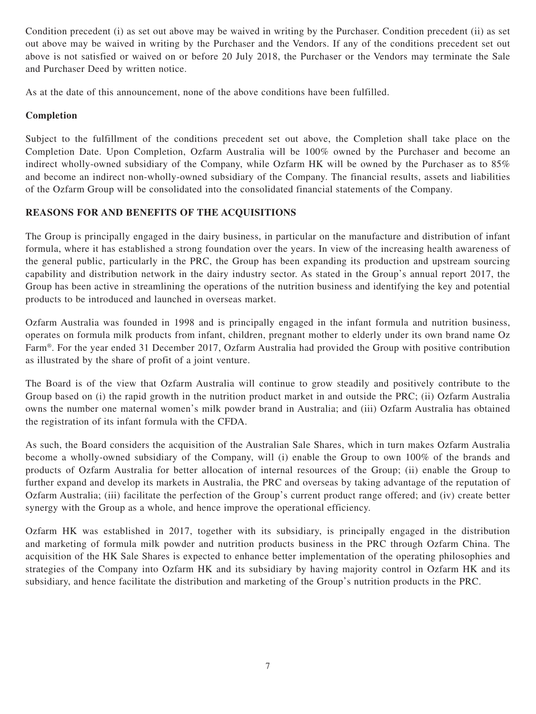Condition precedent (i) as set out above may be waived in writing by the Purchaser. Condition precedent (ii) as set out above may be waived in writing by the Purchaser and the Vendors. If any of the conditions precedent set out above is not satisfied or waived on or before 20 July 2018, the Purchaser or the Vendors may terminate the Sale and Purchaser Deed by written notice.

As at the date of this announcement, none of the above conditions have been fulfilled.

## **Completion**

Subject to the fulfillment of the conditions precedent set out above, the Completion shall take place on the Completion Date. Upon Completion, Ozfarm Australia will be 100% owned by the Purchaser and become an indirect wholly-owned subsidiary of the Company, while Ozfarm HK will be owned by the Purchaser as to 85% and become an indirect non-wholly-owned subsidiary of the Company. The financial results, assets and liabilities of the Ozfarm Group will be consolidated into the consolidated financial statements of the Company.

## **REASONS FOR AND BENEFITS OF THE ACQUISITIONS**

The Group is principally engaged in the dairy business, in particular on the manufacture and distribution of infant formula, where it has established a strong foundation over the years. In view of the increasing health awareness of the general public, particularly in the PRC, the Group has been expanding its production and upstream sourcing capability and distribution network in the dairy industry sector. As stated in the Group's annual report 2017, the Group has been active in streamlining the operations of the nutrition business and identifying the key and potential products to be introduced and launched in overseas market.

Ozfarm Australia was founded in 1998 and is principally engaged in the infant formula and nutrition business, operates on formula milk products from infant, children, pregnant mother to elderly under its own brand name Oz Farm®. For the year ended 31 December 2017, Ozfarm Australia had provided the Group with positive contribution as illustrated by the share of profit of a joint venture.

The Board is of the view that Ozfarm Australia will continue to grow steadily and positively contribute to the Group based on (i) the rapid growth in the nutrition product market in and outside the PRC; (ii) Ozfarm Australia owns the number one maternal women's milk powder brand in Australia; and (iii) Ozfarm Australia has obtained the registration of its infant formula with the CFDA.

As such, the Board considers the acquisition of the Australian Sale Shares, which in turn makes Ozfarm Australia become a wholly-owned subsidiary of the Company, will (i) enable the Group to own 100% of the brands and products of Ozfarm Australia for better allocation of internal resources of the Group; (ii) enable the Group to further expand and develop its markets in Australia, the PRC and overseas by taking advantage of the reputation of Ozfarm Australia; (iii) facilitate the perfection of the Group's current product range offered; and (iv) create better synergy with the Group as a whole, and hence improve the operational efficiency.

Ozfarm HK was established in 2017, together with its subsidiary, is principally engaged in the distribution and marketing of formula milk powder and nutrition products business in the PRC through Ozfarm China. The acquisition of the HK Sale Shares is expected to enhance better implementation of the operating philosophies and strategies of the Company into Ozfarm HK and its subsidiary by having majority control in Ozfarm HK and its subsidiary, and hence facilitate the distribution and marketing of the Group's nutrition products in the PRC.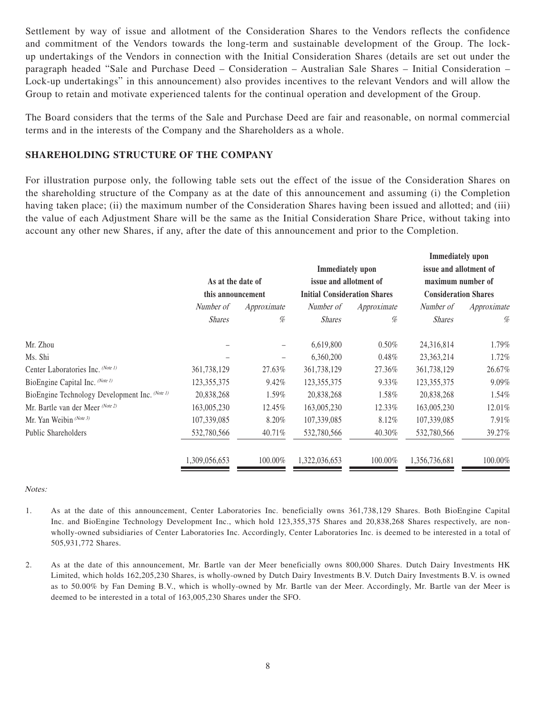Settlement by way of issue and allotment of the Consideration Shares to the Vendors reflects the confidence and commitment of the Vendors towards the long-term and sustainable development of the Group. The lockup undertakings of the Vendors in connection with the Initial Consideration Shares (details are set out under the paragraph headed "Sale and Purchase Deed – Consideration – Australian Sale Shares – Initial Consideration – Lock-up undertakings" in this announcement) also provides incentives to the relevant Vendors and will allow the Group to retain and motivate experienced talents for the continual operation and development of the Group.

The Board considers that the terms of the Sale and Purchase Deed are fair and reasonable, on normal commercial terms and in the interests of the Company and the Shareholders as a whole.

## **SHAREHOLDING STRUCTURE OF THE COMPANY**

For illustration purpose only, the following table sets out the effect of the issue of the Consideration Shares on the shareholding structure of the Company as at the date of this announcement and assuming (i) the Completion having taken place; (ii) the maximum number of the Consideration Shares having been issued and allotted; and (iii) the value of each Adjustment Share will be the same as the Initial Consideration Share Price, without taking into account any other new Shares, if any, after the date of this announcement and prior to the Completion.

| As at the date of<br>this announcement |         | issue and allotment of<br><b>Initial Consideration Shares</b> |          | maximum number of<br><b>Consideration Shares</b> |                                                   |
|----------------------------------------|---------|---------------------------------------------------------------|----------|--------------------------------------------------|---------------------------------------------------|
|                                        |         |                                                               |          |                                                  |                                                   |
| <b>Shares</b>                          | %       | <b>Shares</b>                                                 | %        | <b>Shares</b>                                    | %                                                 |
|                                        |         | 6,619,800                                                     | $0.50\%$ | 24,316,814                                       | 1.79%                                             |
|                                        |         | 6,360,200                                                     | 0.48%    | 23, 363, 214                                     | 1.72%                                             |
| 361,738,129                            | 27.63%  | 361,738,129                                                   | 27.36%   | 361,738,129                                      | 26.67%                                            |
| 123, 355, 375                          | 9.42%   | 123, 355, 375                                                 | 9.33%    | 123, 355, 375                                    | 9.09%                                             |
| 20,838,268                             | 1.59%   | 20,838,268                                                    | 1.58%    | 20,838,268                                       | 1.54%                                             |
| 163,005,230                            | 12.45%  | 163,005,230                                                   | 12.33%   | 163,005,230                                      | 12.01%                                            |
| 107,339,085                            | 8.20%   | 107,339,085                                                   | 8.12%    | 107,339,085                                      | 7.91%                                             |
| 532,780,566                            | 40.71%  | 532,780,566                                                   | 40.30%   | 532,780,566                                      | 39.27%                                            |
| 1,309,056,653                          | 100.00% | 1,322,036,653                                                 | 100.00%  | 1,356,736,681                                    | 100.00%                                           |
|                                        |         |                                                               |          | <b>Immediately</b> upon                          | <b>Immediately</b> upon<br>issue and allotment of |

Notes:

- 1. As at the date of this announcement, Center Laboratories Inc. beneficially owns 361,738,129 Shares. Both BioEngine Capital Inc. and BioEngine Technology Development Inc., which hold 123,355,375 Shares and 20,838,268 Shares respectively, are nonwholly-owned subsidiaries of Center Laboratories Inc. Accordingly, Center Laboratories Inc. is deemed to be interested in a total of 505,931,772 Shares.
- 2. As at the date of this announcement, Mr. Bartle van der Meer beneficially owns 800,000 Shares. Dutch Dairy Investments HK Limited, which holds 162,205,230 Shares, is wholly-owned by Dutch Dairy Investments B.V. Dutch Dairy Investments B.V. is owned as to 50.00% by Fan Deming B.V., which is wholly-owned by Mr. Bartle van der Meer. Accordingly, Mr. Bartle van der Meer is deemed to be interested in a total of 163,005,230 Shares under the SFO.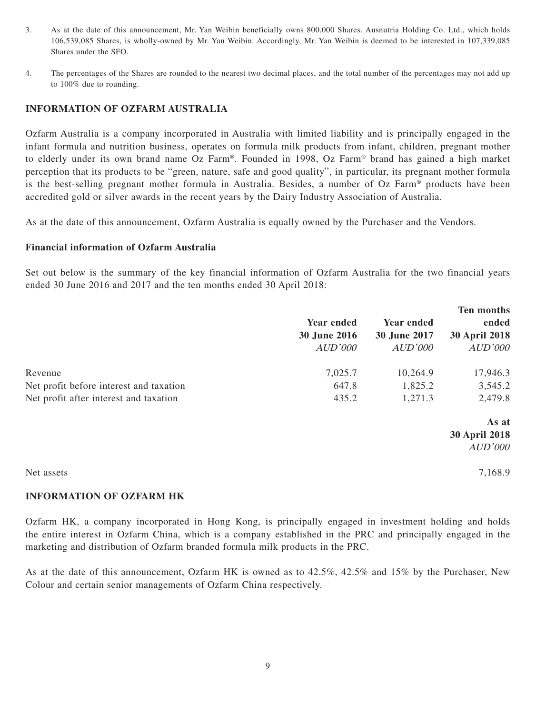- 3. As at the date of this announcement, Mr. Yan Weibin beneficially owns 800,000 Shares. Ausnutria Holding Co. Ltd., which holds 106,539,085 Shares, is wholly-owned by Mr. Yan Weibin. Accordingly, Mr. Yan Weibin is deemed to be interested in 107,339,085 Shares under the SFO.
- 4. The percentages of the Shares are rounded to the nearest two decimal places, and the total number of the percentages may not add up to 100% due to rounding.

## **INFORMATION OF OZFARM AUSTRALIA**

Ozfarm Australia is a company incorporated in Australia with limited liability and is principally engaged in the infant formula and nutrition business, operates on formula milk products from infant, children, pregnant mother to elderly under its own brand name Oz Farm®. Founded in 1998, Oz Farm® brand has gained a high market perception that its products to be "green, nature, safe and good quality", in particular, its pregnant mother formula is the best-selling pregnant mother formula in Australia. Besides, a number of Oz Farm® products have been accredited gold or silver awards in the recent years by the Dairy Industry Association of Australia.

As at the date of this announcement, Ozfarm Australia is equally owned by the Purchaser and the Vendors.

#### **Financial information of Ozfarm Australia**

Set out below is the summary of the key financial information of Ozfarm Australia for the two financial years ended 30 June 2016 and 2017 and the ten months ended 30 April 2018:

|                                         |                   |              | <b>Ten months</b>    |
|-----------------------------------------|-------------------|--------------|----------------------|
|                                         | <b>Year ended</b> | Year ended   | ended                |
|                                         | 30 June 2016      | 30 June 2017 | <b>30 April 2018</b> |
|                                         | AUD'000           | AUD'000      | AUD'000              |
| Revenue                                 | 7,025.7           | 10,264.9     | 17,946.3             |
| Net profit before interest and taxation | 647.8             | 1,825.2      | 3,545.2              |
| Net profit after interest and taxation  | 435.2             | 1,271.3      | 2,479.8              |
|                                         |                   |              | As at                |
|                                         |                   |              | <b>30 April 2018</b> |
|                                         |                   |              | AUD'000              |
| Net assets                              |                   |              | 7,168.9              |

## **INFORMATION OF OZFARM HK**

Ozfarm HK, a company incorporated in Hong Kong, is principally engaged in investment holding and holds the entire interest in Ozfarm China, which is a company established in the PRC and principally engaged in the marketing and distribution of Ozfarm branded formula milk products in the PRC.

As at the date of this announcement, Ozfarm HK is owned as to 42.5%, 42.5% and 15% by the Purchaser, New Colour and certain senior managements of Ozfarm China respectively.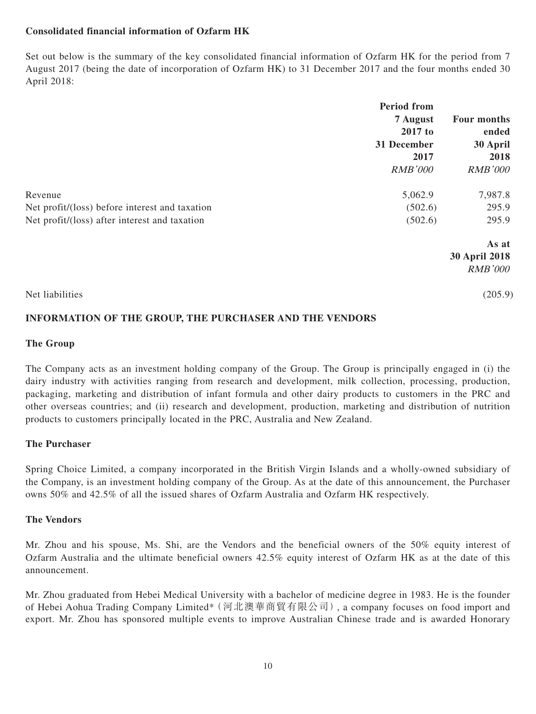## **Consolidated financial information of Ozfarm HK**

Set out below is the summary of the key consolidated financial information of Ozfarm HK for the period from 7 August 2017 (being the date of incorporation of Ozfarm HK) to 31 December 2017 and the four months ended 30 April 2018:

|                                                | <b>Period from</b> |                      |  |
|------------------------------------------------|--------------------|----------------------|--|
|                                                | 7 August           | Four months          |  |
|                                                | 2017 to            | ended                |  |
|                                                | 31 December        | 30 April<br>2018     |  |
|                                                | 2017               |                      |  |
|                                                | <b>RMB'000</b>     | <b>RMB'000</b>       |  |
| Revenue                                        | 5,062.9            | 7,987.8              |  |
| Net profit/(loss) before interest and taxation | (502.6)            | 295.9                |  |
| Net profit/(loss) after interest and taxation  | (502.6)            | 295.9                |  |
|                                                |                    | As at                |  |
|                                                |                    | <b>30 April 2018</b> |  |
|                                                |                    | <b>RMB'000</b>       |  |
| Net liabilities                                |                    | (205.9)              |  |

## **INFORMATION OF THE GROUP, THE PURCHASER AND THE VENDORS**

#### **The Group**

The Company acts as an investment holding company of the Group. The Group is principally engaged in (i) the dairy industry with activities ranging from research and development, milk collection, processing, production, packaging, marketing and distribution of infant formula and other dairy products to customers in the PRC and other overseas countries; and (ii) research and development, production, marketing and distribution of nutrition products to customers principally located in the PRC, Australia and New Zealand.

## **The Purchaser**

Spring Choice Limited, a company incorporated in the British Virgin Islands and a wholly-owned subsidiary of the Company, is an investment holding company of the Group. As at the date of this announcement, the Purchaser owns 50% and 42.5% of all the issued shares of Ozfarm Australia and Ozfarm HK respectively.

## **The Vendors**

Mr. Zhou and his spouse, Ms. Shi, are the Vendors and the beneficial owners of the 50% equity interest of Ozfarm Australia and the ultimate beneficial owners 42.5% equity interest of Ozfarm HK as at the date of this announcement.

Mr. Zhou graduated from Hebei Medical University with a bachelor of medicine degree in 1983. He is the founder of Hebei Aohua Trading Company Limited\*(河北澳華商貿有限公司), a company focuses on food import and export. Mr. Zhou has sponsored multiple events to improve Australian Chinese trade and is awarded Honorary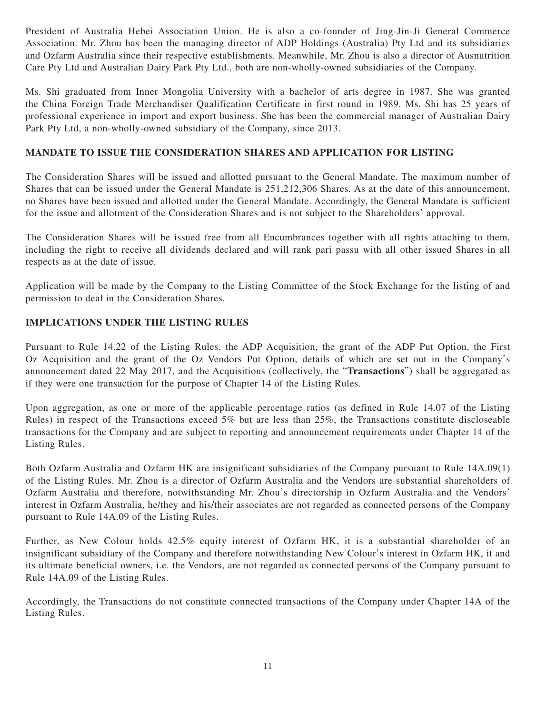President of Australia Hebei Association Union. He is also a co-founder of Jing-Jin-Ji General Commerce Association. Mr. Zhou has been the managing director of ADP Holdings (Australia) Pty Ltd and its subsidiaries and Ozfarm Australia since their respective establishments. Meanwhile, Mr. Zhou is also a director of Ausnutrition Care Pty Ltd and Australian Dairy Park Pty Ltd., both are non-wholly-owned subsidiaries of the Company.

Ms. Shi graduated from Inner Mongolia University with a bachelor of arts degree in 1987. She was granted the China Foreign Trade Merchandiser Qualification Certificate in first round in 1989. Ms. Shi has 25 years of professional experience in import and export business. She has been the commercial manager of Australian Dairy Park Pty Ltd, a non-wholly-owned subsidiary of the Company, since 2013.

## **MANDATE TO ISSUE THE CONSIDERATION SHARES AND APPLICATION FOR LISTING**

The Consideration Shares will be issued and allotted pursuant to the General Mandate. The maximum number of Shares that can be issued under the General Mandate is 251,212,306 Shares. As at the date of this announcement, no Shares have been issued and allotted under the General Mandate. Accordingly, the General Mandate is sufficient for the issue and allotment of the Consideration Shares and is not subject to the Shareholders' approval.

The Consideration Shares will be issued free from all Encumbrances together with all rights attaching to them, including the right to receive all dividends declared and will rank pari passu with all other issued Shares in all respects as at the date of issue.

Application will be made by the Company to the Listing Committee of the Stock Exchange for the listing of and permission to deal in the Consideration Shares.

## **IMPLICATIONS UNDER THE LISTING RULES**

Pursuant to Rule 14.22 of the Listing Rules, the ADP Acquisition, the grant of the ADP Put Option, the First Oz Acquisition and the grant of the Oz Vendors Put Option, details of which are set out in the Company's announcement dated 22 May 2017, and the Acquisitions (collectively, the "**Transactions**") shall be aggregated as if they were one transaction for the purpose of Chapter 14 of the Listing Rules.

Upon aggregation, as one or more of the applicable percentage ratios (as defined in Rule 14.07 of the Listing Rules) in respect of the Transactions exceed 5% but are less than 25%, the Transactions constitute discloseable transactions for the Company and are subject to reporting and announcement requirements under Chapter 14 of the Listing Rules.

Both Ozfarm Australia and Ozfarm HK are insignificant subsidiaries of the Company pursuant to Rule 14A.09(1) of the Listing Rules. Mr. Zhou is a director of Ozfarm Australia and the Vendors are substantial shareholders of Ozfarm Australia and therefore, notwithstanding Mr. Zhou's directorship in Ozfarm Australia and the Vendors' interest in Ozfarm Australia, he/they and his/their associates are not regarded as connected persons of the Company pursuant to Rule 14A.09 of the Listing Rules.

Further, as New Colour holds 42.5% equity interest of Ozfarm HK, it is a substantial shareholder of an insignificant subsidiary of the Company and therefore notwithstanding New Colour's interest in Ozfarm HK, it and its ultimate beneficial owners, i.e. the Vendors, are not regarded as connected persons of the Company pursuant to Rule 14A.09 of the Listing Rules.

Accordingly, the Transactions do not constitute connected transactions of the Company under Chapter 14A of the Listing Rules.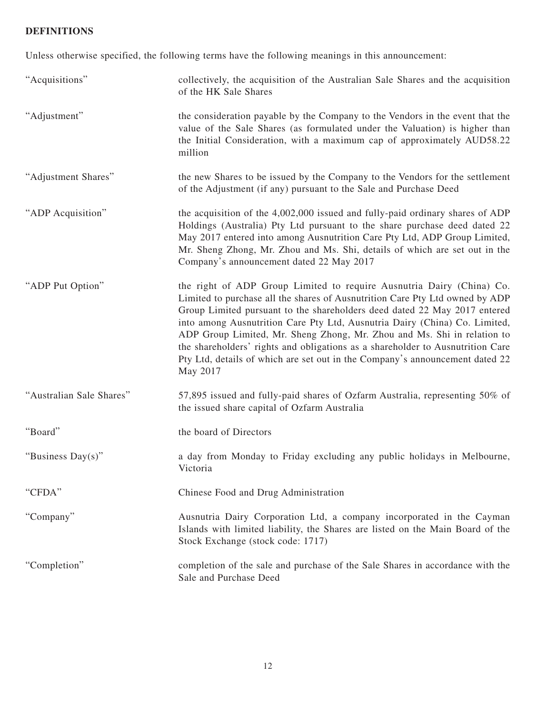# **DEFINITIONS**

Unless otherwise specified, the following terms have the following meanings in this announcement:

| "Acquisitions"           | collectively, the acquisition of the Australian Sale Shares and the acquisition<br>of the HK Sale Shares                                                                                                                                                                                                                                                                                                                                                                                                                                                                  |
|--------------------------|---------------------------------------------------------------------------------------------------------------------------------------------------------------------------------------------------------------------------------------------------------------------------------------------------------------------------------------------------------------------------------------------------------------------------------------------------------------------------------------------------------------------------------------------------------------------------|
| "Adjustment"             | the consideration payable by the Company to the Vendors in the event that the<br>value of the Sale Shares (as formulated under the Valuation) is higher than<br>the Initial Consideration, with a maximum cap of approximately AUD58.22<br>million                                                                                                                                                                                                                                                                                                                        |
| "Adjustment Shares"      | the new Shares to be issued by the Company to the Vendors for the settlement<br>of the Adjustment (if any) pursuant to the Sale and Purchase Deed                                                                                                                                                                                                                                                                                                                                                                                                                         |
| "ADP Acquisition"        | the acquisition of the 4,002,000 issued and fully-paid ordinary shares of ADP<br>Holdings (Australia) Pty Ltd pursuant to the share purchase deed dated 22<br>May 2017 entered into among Ausnutrition Care Pty Ltd, ADP Group Limited,<br>Mr. Sheng Zhong, Mr. Zhou and Ms. Shi, details of which are set out in the<br>Company's announcement dated 22 May 2017                                                                                                                                                                                                         |
| "ADP Put Option"         | the right of ADP Group Limited to require Ausnutria Dairy (China) Co.<br>Limited to purchase all the shares of Ausnutrition Care Pty Ltd owned by ADP<br>Group Limited pursuant to the shareholders deed dated 22 May 2017 entered<br>into among Ausnutrition Care Pty Ltd, Ausnutria Dairy (China) Co. Limited,<br>ADP Group Limited, Mr. Sheng Zhong, Mr. Zhou and Ms. Shi in relation to<br>the shareholders' rights and obligations as a shareholder to Ausnutrition Care<br>Pty Ltd, details of which are set out in the Company's announcement dated 22<br>May 2017 |
| "Australian Sale Shares" | 57,895 issued and fully-paid shares of Ozfarm Australia, representing 50% of<br>the issued share capital of Ozfarm Australia                                                                                                                                                                                                                                                                                                                                                                                                                                              |
| "Board"                  | the board of Directors                                                                                                                                                                                                                                                                                                                                                                                                                                                                                                                                                    |
| "Business Day(s)"        | a day from Monday to Friday excluding any public holidays in Melbourne,<br>Victoria                                                                                                                                                                                                                                                                                                                                                                                                                                                                                       |
| "CFDA"                   | Chinese Food and Drug Administration                                                                                                                                                                                                                                                                                                                                                                                                                                                                                                                                      |
| "Company"                | Ausnutria Dairy Corporation Ltd, a company incorporated in the Cayman<br>Islands with limited liability, the Shares are listed on the Main Board of the<br>Stock Exchange (stock code: 1717)                                                                                                                                                                                                                                                                                                                                                                              |
| "Completion"             | completion of the sale and purchase of the Sale Shares in accordance with the<br>Sale and Purchase Deed                                                                                                                                                                                                                                                                                                                                                                                                                                                                   |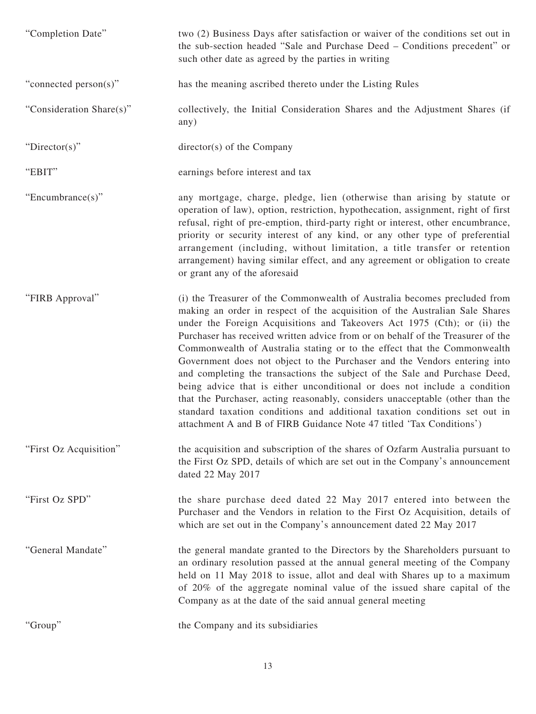| "Completion Date"        | two (2) Business Days after satisfaction or waiver of the conditions set out in<br>the sub-section headed "Sale and Purchase Deed – Conditions precedent" or<br>such other date as agreed by the parties in writing                                                                                                                                                                                                                                                                                                                                                                                                                                                                                                                                                                                                                                                                |
|--------------------------|------------------------------------------------------------------------------------------------------------------------------------------------------------------------------------------------------------------------------------------------------------------------------------------------------------------------------------------------------------------------------------------------------------------------------------------------------------------------------------------------------------------------------------------------------------------------------------------------------------------------------------------------------------------------------------------------------------------------------------------------------------------------------------------------------------------------------------------------------------------------------------|
| "connected person(s)"    | has the meaning ascribed thereto under the Listing Rules                                                                                                                                                                                                                                                                                                                                                                                                                                                                                                                                                                                                                                                                                                                                                                                                                           |
| "Consideration Share(s)" | collectively, the Initial Consideration Shares and the Adjustment Shares (if<br>any)                                                                                                                                                                                                                                                                                                                                                                                                                                                                                                                                                                                                                                                                                                                                                                                               |
| "Director(s)"            | $directory(s)$ of the Company                                                                                                                                                                                                                                                                                                                                                                                                                                                                                                                                                                                                                                                                                                                                                                                                                                                      |
| "EBIT"                   | earnings before interest and tax                                                                                                                                                                                                                                                                                                                                                                                                                                                                                                                                                                                                                                                                                                                                                                                                                                                   |
| "Encumbrance $(s)$ "     | any mortgage, charge, pledge, lien (otherwise than arising by statute or<br>operation of law), option, restriction, hypothecation, assignment, right of first<br>refusal, right of pre-emption, third-party right or interest, other encumbrance,<br>priority or security interest of any kind, or any other type of preferential<br>arrangement (including, without limitation, a title transfer or retention<br>arrangement) having similar effect, and any agreement or obligation to create<br>or grant any of the aforesaid                                                                                                                                                                                                                                                                                                                                                   |
| "FIRB Approval"          | (i) the Treasurer of the Commonwealth of Australia becomes precluded from<br>making an order in respect of the acquisition of the Australian Sale Shares<br>under the Foreign Acquisitions and Takeovers Act 1975 (Cth); or (ii) the<br>Purchaser has received written advice from or on behalf of the Treasurer of the<br>Commonwealth of Australia stating or to the effect that the Commonwealth<br>Government does not object to the Purchaser and the Vendors entering into<br>and completing the transactions the subject of the Sale and Purchase Deed,<br>being advice that is either unconditional or does not include a condition<br>that the Purchaser, acting reasonably, considers unacceptable (other than the<br>standard taxation conditions and additional taxation conditions set out in<br>attachment A and B of FIRB Guidance Note 47 titled 'Tax Conditions') |
| "First Oz Acquisition"   | the acquisition and subscription of the shares of Ozfarm Australia pursuant to<br>the First Oz SPD, details of which are set out in the Company's announcement<br>dated 22 May 2017                                                                                                                                                                                                                                                                                                                                                                                                                                                                                                                                                                                                                                                                                                |
| "First Oz SPD"           | the share purchase deed dated 22 May 2017 entered into between the<br>Purchaser and the Vendors in relation to the First Oz Acquisition, details of<br>which are set out in the Company's announcement dated 22 May 2017                                                                                                                                                                                                                                                                                                                                                                                                                                                                                                                                                                                                                                                           |
| "General Mandate"        | the general mandate granted to the Directors by the Shareholders pursuant to<br>an ordinary resolution passed at the annual general meeting of the Company<br>held on 11 May 2018 to issue, allot and deal with Shares up to a maximum<br>of 20% of the aggregate nominal value of the issued share capital of the<br>Company as at the date of the said annual general meeting                                                                                                                                                                                                                                                                                                                                                                                                                                                                                                    |
| "Group"                  | the Company and its subsidiaries                                                                                                                                                                                                                                                                                                                                                                                                                                                                                                                                                                                                                                                                                                                                                                                                                                                   |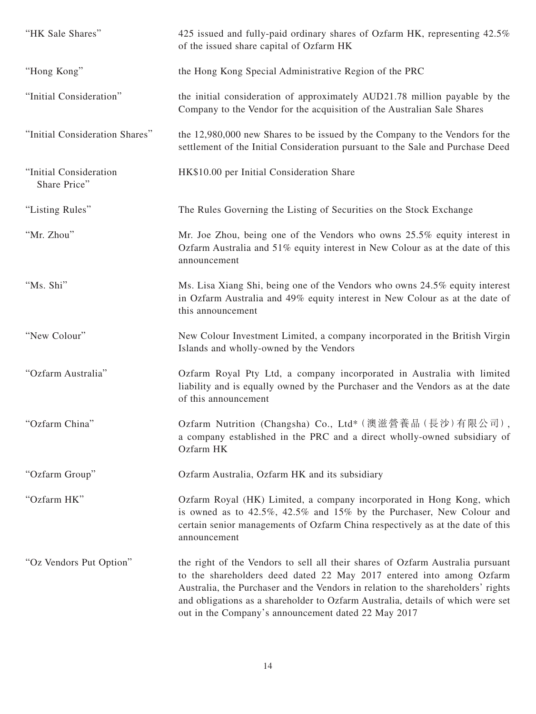| "HK Sale Shares"                       | 425 issued and fully-paid ordinary shares of Ozfarm HK, representing 42.5%<br>of the issued share capital of Ozfarm HK                                                                                                                                                                                                                                                               |
|----------------------------------------|--------------------------------------------------------------------------------------------------------------------------------------------------------------------------------------------------------------------------------------------------------------------------------------------------------------------------------------------------------------------------------------|
| "Hong Kong"                            | the Hong Kong Special Administrative Region of the PRC                                                                                                                                                                                                                                                                                                                               |
| "Initial Consideration"                | the initial consideration of approximately AUD21.78 million payable by the<br>Company to the Vendor for the acquisition of the Australian Sale Shares                                                                                                                                                                                                                                |
| "Initial Consideration Shares"         | the 12,980,000 new Shares to be issued by the Company to the Vendors for the<br>settlement of the Initial Consideration pursuant to the Sale and Purchase Deed                                                                                                                                                                                                                       |
| "Initial Consideration<br>Share Price" | HK\$10.00 per Initial Consideration Share                                                                                                                                                                                                                                                                                                                                            |
| "Listing Rules"                        | The Rules Governing the Listing of Securities on the Stock Exchange                                                                                                                                                                                                                                                                                                                  |
| "Mr. Zhou"                             | Mr. Joe Zhou, being one of the Vendors who owns 25.5% equity interest in<br>Ozfarm Australia and 51% equity interest in New Colour as at the date of this<br>announcement                                                                                                                                                                                                            |
| "Ms. Shi"                              | Ms. Lisa Xiang Shi, being one of the Vendors who owns 24.5% equity interest<br>in Ozfarm Australia and 49% equity interest in New Colour as at the date of<br>this announcement                                                                                                                                                                                                      |
| "New Colour"                           | New Colour Investment Limited, a company incorporated in the British Virgin<br>Islands and wholly-owned by the Vendors                                                                                                                                                                                                                                                               |
| "Ozfarm Australia"                     | Ozfarm Royal Pty Ltd, a company incorporated in Australia with limited<br>liability and is equally owned by the Purchaser and the Vendors as at the date<br>of this announcement                                                                                                                                                                                                     |
| "Ozfarm China"                         | Ozfarm Nutrition (Changsha) Co., Ltd* (澳滋營養品 (長沙)有限公司),<br>a company established in the PRC and a direct wholly-owned subsidiary of<br>Ozfarm HK                                                                                                                                                                                                                                     |
| "Ozfarm Group"                         | Ozfarm Australia, Ozfarm HK and its subsidiary                                                                                                                                                                                                                                                                                                                                       |
| "Ozfarm HK"                            | Ozfarm Royal (HK) Limited, a company incorporated in Hong Kong, which<br>is owned as to 42.5%, 42.5% and 15% by the Purchaser, New Colour and<br>certain senior managements of Ozfarm China respectively as at the date of this<br>announcement                                                                                                                                      |
| "Oz Vendors Put Option"                | the right of the Vendors to sell all their shares of Ozfarm Australia pursuant<br>to the shareholders deed dated 22 May 2017 entered into among Ozfarm<br>Australia, the Purchaser and the Vendors in relation to the shareholders' rights<br>and obligations as a shareholder to Ozfarm Australia, details of which were set<br>out in the Company's announcement dated 22 May 2017 |